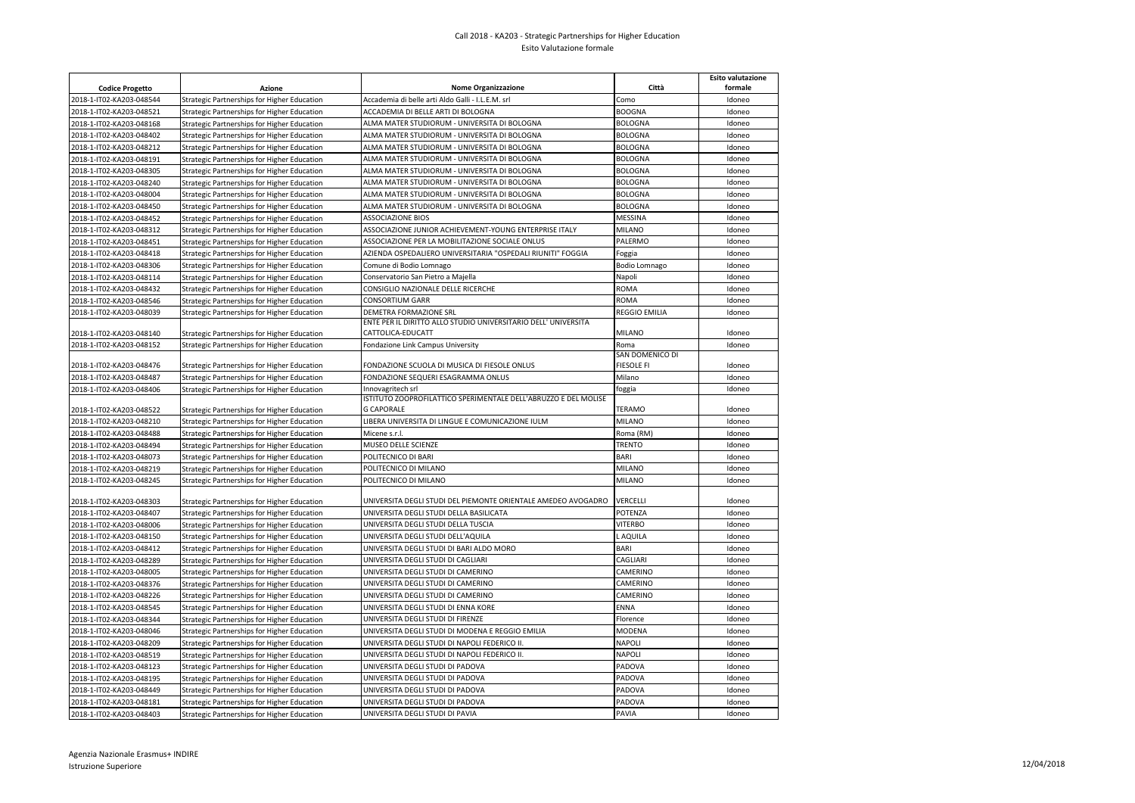## Call 2018 - KA203 - Strategic Partnerships for Higher Education Esito Valutazione formale

|                          |                                             |                                                                 |                 | <b>Esito valutazione</b> |
|--------------------------|---------------------------------------------|-----------------------------------------------------------------|-----------------|--------------------------|
| <b>Codice Progetto</b>   | Azione                                      | <b>Nome Organizzazione</b>                                      | Città           | formale                  |
| 2018-1-IT02-KA203-048544 | Strategic Partnerships for Higher Education | Accademia di belle arti Aldo Galli - I.L.E.M. srl               | Como            | Idoneo                   |
| 2018-1-IT02-KA203-048521 | Strategic Partnerships for Higher Education | ACCADEMIA DI BELLE ARTI DI BOLOGNA                              | <b>BOOGNA</b>   | Idoneo                   |
| 2018-1-IT02-KA203-048168 | Strategic Partnerships for Higher Education | ALMA MATER STUDIORUM - UNIVERSITA DI BOLOGNA                    | <b>BOLOGNA</b>  | Idoneo                   |
| 2018-1-IT02-KA203-048402 | Strategic Partnerships for Higher Education | ALMA MATER STUDIORUM - UNIVERSITA DI BOLOGNA                    | <b>BOLOGNA</b>  | Idoneo                   |
| 2018-1-IT02-KA203-048212 | Strategic Partnerships for Higher Education | ALMA MATER STUDIORUM - UNIVERSITA DI BOLOGNA                    | <b>BOLOGNA</b>  | Idoneo                   |
| 2018-1-IT02-KA203-048191 | Strategic Partnerships for Higher Education | ALMA MATER STUDIORUM - UNIVERSITA DI BOLOGNA                    | <b>BOLOGNA</b>  | Idoneo                   |
| 2018-1-IT02-KA203-048305 | Strategic Partnerships for Higher Education | ALMA MATER STUDIORUM - UNIVERSITA DI BOLOGNA                    | <b>BOLOGNA</b>  | Idoneo                   |
| 2018-1-IT02-KA203-048240 | Strategic Partnerships for Higher Education | ALMA MATER STUDIORUM - UNIVERSITA DI BOLOGNA                    | <b>BOLOGNA</b>  | Idoneo                   |
| 2018-1-IT02-KA203-048004 | Strategic Partnerships for Higher Education | ALMA MATER STUDIORUM - UNIVERSITA DI BOLOGNA                    | <b>BOLOGNA</b>  | Idoneo                   |
| 2018-1-IT02-KA203-048450 | Strategic Partnerships for Higher Education | ALMA MATER STUDIORUM - UNIVERSITA DI BOLOGNA                    | <b>BOLOGNA</b>  | Idoneo                   |
| 2018-1-IT02-KA203-048452 | Strategic Partnerships for Higher Education | <b>ASSOCIAZIONE BIOS</b>                                        | MESSINA         | Idoneo                   |
| 2018-1-IT02-KA203-048312 | Strategic Partnerships for Higher Education | ASSOCIAZIONE JUNIOR ACHIEVEMENT-YOUNG ENTERPRISE ITALY          | MILANO          | Idoneo                   |
| 2018-1-IT02-KA203-048451 | Strategic Partnerships for Higher Education | ASSOCIAZIONE PER LA MOBILITAZIONE SOCIALE ONLUS                 | PALERMO         | Idoneo                   |
| 2018-1-IT02-KA203-048418 | Strategic Partnerships for Higher Education | AZIENDA OSPEDALIERO UNIVERSITARIA "OSPEDALI RIUNITI" FOGGIA     | Foggia          | Idoneo                   |
| 2018-1-IT02-KA203-048306 | Strategic Partnerships for Higher Education | Comune di Bodio Lomnago                                         | Bodio Lomnago   | Idoneo                   |
| 2018-1-IT02-KA203-048114 | Strategic Partnerships for Higher Education | Conservatorio San Pietro a Majella                              | Napoli          | Idoneo                   |
| 2018-1-IT02-KA203-048432 | Strategic Partnerships for Higher Education | CONSIGLIO NAZIONALE DELLE RICERCHE                              | ROMA            | Idoneo                   |
| 2018-1-IT02-KA203-048546 | Strategic Partnerships for Higher Education | CONSORTIUM GARR                                                 | <b>ROMA</b>     | Idoneo                   |
| 2018-1-IT02-KA203-048039 | Strategic Partnerships for Higher Education | DEMETRA FORMAZIONE SRL                                          | REGGIO EMILIA   | Idoneo                   |
|                          |                                             | ENTE PER IL DIRITTO ALLO STUDIO UNIVERSITARIO DELL' UNIVERSITA  |                 |                          |
| 2018-1-IT02-KA203-048140 | Strategic Partnerships for Higher Education | CATTOLICA-EDUCATT                                               | <b>MILANO</b>   | Idoneo                   |
| 2018-1-IT02-KA203-048152 | Strategic Partnerships for Higher Education | Fondazione Link Campus University                               | Roma            | Idoneo                   |
|                          |                                             |                                                                 | SAN DOMENICO DI |                          |
| 2018-1-IT02-KA203-048476 | Strategic Partnerships for Higher Education | FONDAZIONE SCUOLA DI MUSICA DI FIESOLE ONLUS                    | FIESOLE FI      | Idoneo                   |
| 2018-1-IT02-KA203-048487 | Strategic Partnerships for Higher Education | FONDAZIONE SEQUERI ESAGRAMMA ONLUS                              | Milano          | Idoneo                   |
| 2018-1-IT02-KA203-048406 | Strategic Partnerships for Higher Education | Innovagritech srl                                               | foggia          | Idoneo                   |
|                          |                                             | ISTITUTO ZOOPROFILATTICO SPERIMENTALE DELL'ABRUZZO E DEL MOLISE |                 |                          |
| 2018-1-IT02-KA203-048522 | Strategic Partnerships for Higher Education | <b>G CAPORALE</b>                                               | TERAMO          | Idoneo                   |
| 2018-1-IT02-KA203-048210 | Strategic Partnerships for Higher Education | LIBERA UNIVERSITA DI LINGUE E COMUNICAZIONE IULM                | <b>MILANO</b>   | Idoneo                   |
| 2018-1-IT02-KA203-048488 | Strategic Partnerships for Higher Education | Micene s.r.l.                                                   | Roma (RM)       | Idoneo                   |
| 2018-1-IT02-KA203-048494 | Strategic Partnerships for Higher Education | MUSEO DELLE SCIENZE                                             | TRENTO          | Idoneo                   |
| 2018-1-IT02-KA203-048073 | Strategic Partnerships for Higher Education | POLITECNICO DI BARI                                             | <b>BARI</b>     | Idoneo                   |
| 2018-1-IT02-KA203-048219 | Strategic Partnerships for Higher Education | POLITECNICO DI MILANO                                           | <b>MILANO</b>   | Idoneo                   |
| 2018-1-IT02-KA203-048245 | Strategic Partnerships for Higher Education | POLITECNICO DI MILANO                                           | MILANO          | Idoneo                   |
| 2018-1-IT02-KA203-048303 | Strategic Partnerships for Higher Education | UNIVERSITA DEGLI STUDI DEL PIEMONTE ORIENTALE AMEDEO AVOGADRO   | VERCELLI        | Idoneo                   |
| 2018-1-IT02-KA203-048407 | Strategic Partnerships for Higher Education | UNIVERSITA DEGLI STUDI DELLA BASILICATA                         | POTENZA         | Idoneo                   |
| 2018-1-IT02-KA203-048006 | Strategic Partnerships for Higher Education | UNIVERSITA DEGLI STUDI DELLA TUSCIA                             | <b>VITERBO</b>  | Idoneo                   |
| 2018-1-IT02-KA203-048150 | Strategic Partnerships for Higher Education | UNIVERSITA DEGLI STUDI DELL'AQUILA                              | L AQUILA        | Idoneo                   |
| 2018-1-IT02-KA203-048412 |                                             | UNIVERSITA DEGLI STUDI DI BARI ALDO MORO                        | BARI            | Idoneo                   |
| 2018-1-IT02-KA203-048289 | Strategic Partnerships for Higher Education | UNIVERSITA DEGLI STUDI DI CAGLIARI                              | CAGLIARI        | Idoneo                   |
|                          | Strategic Partnerships for Higher Education |                                                                 | CAMERINO        |                          |
| 2018-1-IT02-KA203-048005 | Strategic Partnerships for Higher Education | UNIVERSITA DEGLI STUDI DI CAMERINO                              |                 | Idoneo                   |
| 2018-1-IT02-KA203-048376 | Strategic Partnerships for Higher Education | UNIVERSITA DEGLI STUDI DI CAMERINO                              | CAMERINO        | Idoneo                   |
| 2018-1-IT02-KA203-048226 | Strategic Partnerships for Higher Education | UNIVERSITA DEGLI STUDI DI CAMERINO                              | CAMERINO        | Idoneo                   |
| 2018-1-IT02-KA203-048545 | Strategic Partnerships for Higher Education | UNIVERSITA DEGLI STUDI DI ENNA KORE                             | ENNA            | Idoneo                   |
| 2018-1-IT02-KA203-048344 | Strategic Partnerships for Higher Education | UNIVERSITA DEGLI STUDI DI FIRENZE                               | Florence        | Idoneo                   |
| 2018-1-IT02-KA203-048046 | Strategic Partnerships for Higher Education | UNIVERSITA DEGLI STUDI DI MODENA E REGGIO EMILIA                | MODENA          | Idoneo                   |
| 2018-1-IT02-KA203-048209 | Strategic Partnerships for Higher Education | UNIVERSITA DEGLI STUDI DI NAPOLI FEDERICO II.                   | <b>NAPOLI</b>   | Idoneo                   |
| 2018-1-IT02-KA203-048519 | Strategic Partnerships for Higher Education | UNIVERSITA DEGLI STUDI DI NAPOLI FEDERICO II.                   | NAPOLI          | Idoneo                   |
| 2018-1-IT02-KA203-048123 | Strategic Partnerships for Higher Education | UNIVERSITA DEGLI STUDI DI PADOVA                                | PADOVA          | Idoneo                   |
| 2018-1-IT02-KA203-048195 | Strategic Partnerships for Higher Education | UNIVERSITA DEGLI STUDI DI PADOVA                                | PADOVA          | Idoneo                   |
| 2018-1-IT02-KA203-048449 | Strategic Partnerships for Higher Education | UNIVERSITA DEGLI STUDI DI PADOVA                                | PADOVA          | Idoneo                   |
| 2018-1-IT02-KA203-048181 | Strategic Partnerships for Higher Education | UNIVERSITA DEGLI STUDI DI PADOVA                                | PADOVA          | Idoneo                   |
| 2018-1-IT02-KA203-048403 | Strategic Partnerships for Higher Education | UNIVERSITA DEGLI STUDI DI PAVIA                                 | PAVIA           | Idoneo                   |